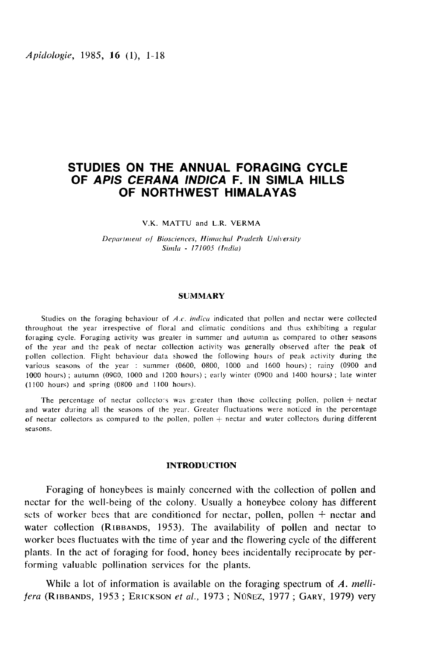# STUDIES ON THE ANNUAL FORAGING CYCLE OF APIS CERANA INDICA F. IN SIMLA HILLS OF NORTHWEST HIMALAYAS

#### V.K. MATTU and L.R. VERMA

Department of Biosciences, Himachal Pradesh University Simla - 171005 (India)

#### SUMMARY

Studies on the foraging behaviour of A.c. indica indicated that pollen and nectar were collected throughout the year irrespective of floral and climatic conditions and thus exhibiting a regular foraging cycle. Foraging activity was greater in summer and autumn as compared to other seasons of the year and the peak of nectar collection activity was generally observed after the peak of pollen collection. Flight behaviour data showed the following hours of peak activity during the various seasons of the year : summer (0600, 0800, 1000 and 1600 hours) ; rainy (0900 and 1000 hours) ; autumn (0900, 1000 and 1200 hours) ; early winter (0900 and 1400 hours) ; late winter (1100 hours) and spring (0800 and 1100 hours).

The percentage of nectar collectors was greater than those collecting pollen, pollen  $+$  nectar and water during all the seasons of the year. Greater fluctuations were noticed in the percentage of nectar collectors as compared to the pollen, pollen  $+$  nectar and water collectors during different seasons.

### INTRODUCTION

Foraging of honeybees is mainly concerned with the collection of pollen and nectar for the well-being of the colony. Usually a honeybee colony has different sets of worker bees that are conditioned for nectar, pollen, pollen  $+$  nectar and Foraging of honeybees is mainly concerned with the collection of pollen and<br>nectar for the well-being of the colony. Usually a honeybee colony has different<br>sets of worker bees that are conditioned for nectar, pollen, poll worker bees fluctuates with the time of year and the flowering cycle of the different plants. In the act of foraging for food, honey bees incidentally reciprocate by performing valuable pollination services for the plants. water concertion (RIBBANDS, 1993). The availability of ponent and hectar to<br>worker bees fluctuates with the time of year and the flowering cycle of the different<br>plants. In the act of foraging for food, honey bees inciden

While a lot of information is available on the foraging spectrum of  $A$ . melli-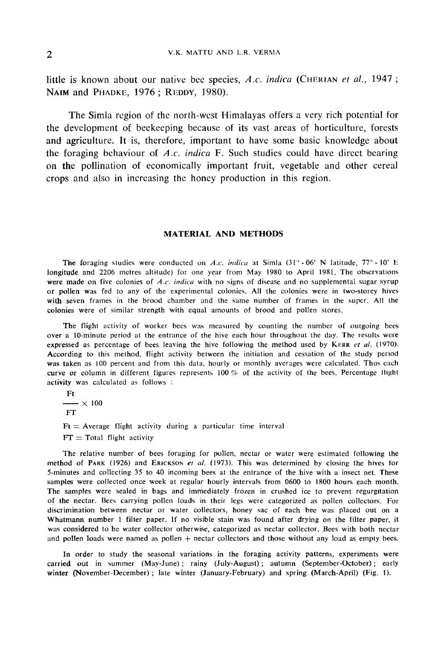2 V.K. MATTU AND L.R. VERMA<br>little is known about our native bee species, A.c. *indica* (CHERIAN *et al.*, 1947 ; NAIM and PHADKE, 1976; REDDY, 1980).

The Simla region of the north-west Himalayas offers a very rich potential for the development of beekeeping because of its vast areas of horticulture, forests and agriculture. It is, therefore, important to have some basic knowledge about the foraging behaviour of A.c. indica F. Such studies could have direct bearing on the pollination of economically important fruit, vegetable and other cereal crops and also in increasing the honey production in this region.

### MATERIAL AND METHODS

The foraging studies were conducted on A.c. indica at Simla (31° - 06' N latitude, 77° - 10' E longitude and 2206 metres altitude) for one year from May 1980 to April 1981. The observations were made on five colonies of A.c. indica with no signs of disease and no supplemental sugar syrup or pollen was fed to any of the experimental colonies. All the colonies were in two-storey hives with seven frames in the brood chamber and the same number of frames in the super. All the colonies were of similar strength with equal amounts of brood and pollen stores.

The flight activity of worker bees was measured by counting the number of outgoing bees over a 10-minute period at the entrance of the hive each hour throughout the day. The results were expressed as percentage of bees leaving the hive following the method used by KERR et al. (1970). According to this method, flight activity between the initiation and cessation of the study period was taken as 100 percent and from this data, hourly or monthly averages were calculated. Thus each curve or column in different figures represents 100 % of the activity of the bees. Percentage flight activity was calculated as follows :

Ft  $\longrightarrow$  X 100

FT

 $Ft =$  Average flight activity during a particular time interval  $FT = Total flight activity$ 

The relative number of bees foraging for pollen, nectar or water were estimated following the method of PARK (1926) and ERICKSON et al. (1973). This was determined by closing the hives for 5-minutes and collecting 35 to 40 incoming bees at the entrance of the hive with a insect net. These samples were collected once week at regular hourly intervals from 0600 to 1800 hours each month. The samples were sealed in bags and immediately frozen in crushed ice to prevent regurgitation of the nectar. Bees carrying pollen loads in their legs were categorized as pollen collectors. For discrimination between nectar or water collectors, honey sac of each bee was placed out on a Whatmann number 1 filter paper. If no visible stain was found after drying on the filter paper, it was considered to be water collector otherwise, categorized as nectar collector. pees with both nectar and pollen loads were named as pollen + nectar collectors and those without any load as empty bees.

In order to study the seasonal variations in the foraging activity patterns, experiments were carried out in summer (May-June); rainy (July-August); autumn (September-October); early winter (November-December) ; late winter (January-February) and spring (March-April) (Fig. 1).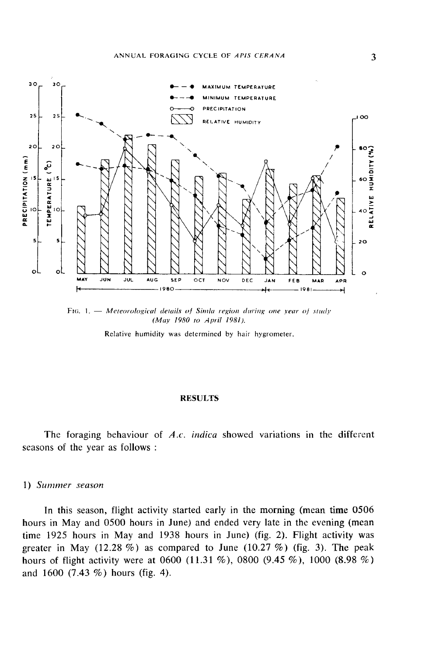

FIG. 1.  $-$  Meteorological details of Simla region during one year of study (May 1980 to April 1981),

Relative humidity was determined by hair hygrometer.

### RESULTS

The foraging behaviour of A.c. indica showed variations in the different seasons of the year as follows :

# 1) Summer season

In this season, flight activity started early in the morning (mean time 0506 hours in May and 0500 hours in June) and ended very late in the evening (mean time 1925 hours in May and 1938 hours in June) (fig. 2). Flight activity was greater in May (12.28 %) as compared to June (10.27 %) (fig. 3). The peak hours of flight activity were at 0600 (11.31 %), 0800 (9.45 %), 1000 (8.98 %) and 1600 (7.43 %) hours (fig. 4).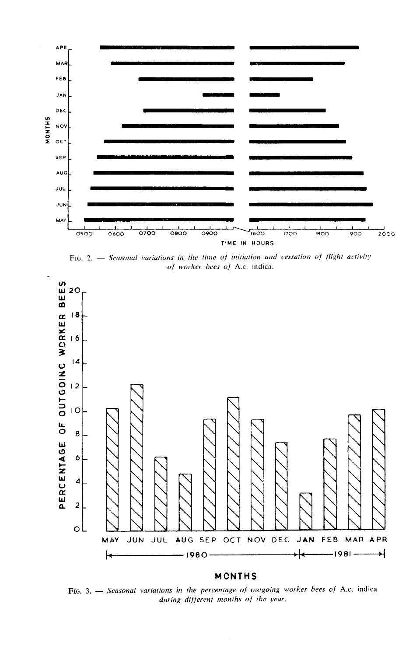

FIG. 2.  $-$  Seasonal variations in the time of initiation and cessation of flight activity of worker bees of A.c. indica.



#### MONTHS

FIG. 3. - Seasonal variations in the percentage of outgoing worker bees of A.c. indica during different months of the year.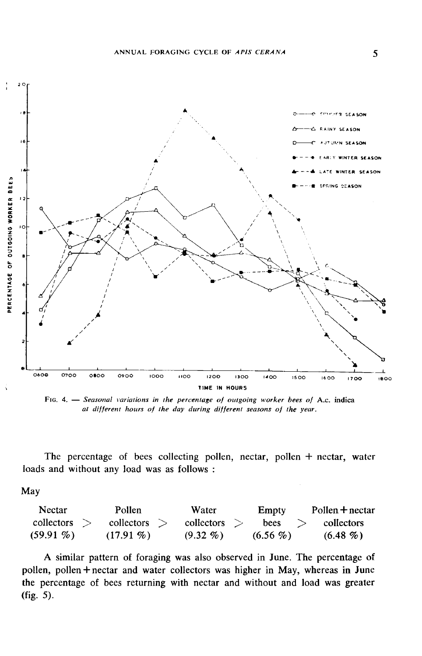

FIG. 4. - Seasonal variations in the percentage of outgoing worker bees of A.c. indica at different hours of the day during different seasons of the year.

The percentage of bees collecting pollen, nectar, pollen + nectar, water loads and without any load was as follows :

May

| <b>Nectar</b> | Pollen       | Water                 | Empty      | $P$ ollen $+$ nectar |
|---------------|--------------|-----------------------|------------|----------------------|
| collectors    | collectors   | $\text{collectors} >$ | bees       | collectors           |
| $(59.91\% )$  | $(17.91\% )$ | $(9.32\%)$            | $(6.56\%)$ | $(6.48\%)$           |

A similar pattern of foraging was also observed in June. The percentage of pollen, pollen + nectar and water collectors was higher in May, whereas in June the percentage of bees returning with nectar and without and load was greater (fig. 5).

5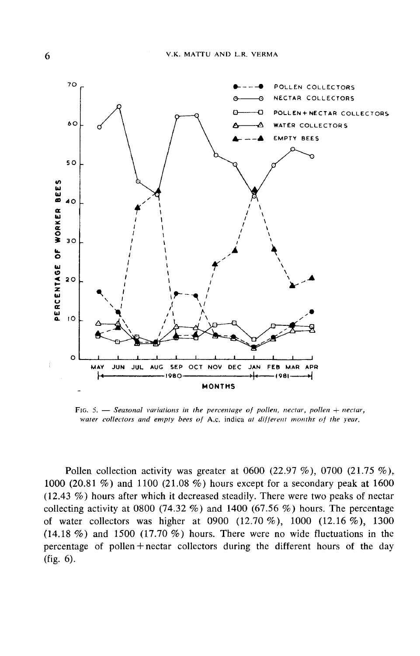

FIG. 5.  $-$  Seasonal variations in the percentage of pollen, nectar, pollen + nectar, water collectors and empty bees of A.c. indica at different months of the year.

Pollen collection activity was greater at 0600 (22.97 %), 0700 (21.75 %), 1000 (20.81 %) and 1100 (21.08 %) hours except for a secondary peak at 1600 (12.43 %) hours after which it decreased steadily. There were two peaks of nectar collecting activity at 0800 (74.32 %) and 1400 (67.56 %) hours. The percentage of water collectors was higher at 0900 (12.70 %), 1000 (12.16 %), 1300 (14.18 %) and 1500 (17.70 %) hours. There were no wide fluctuations in the percentage of pollen+nectar collectors during the different hours of the day (fig. 6).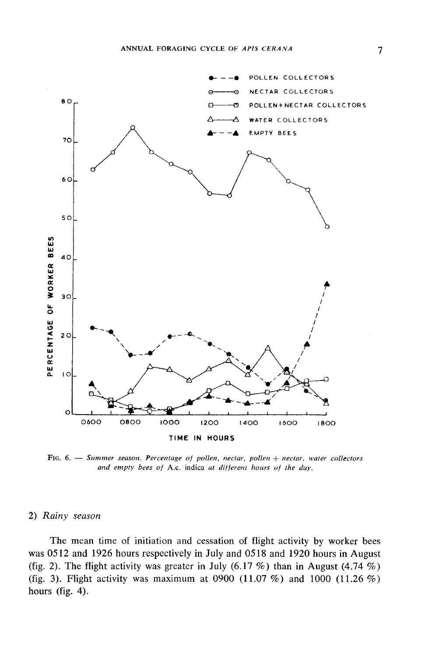

FIG. 6. - Summer season. Percentage of pollen, nectar, pollen + nectar, water collectors and empty bees of A.c. indica at different hours of the day.

# 2) Rainy season

The mean time of initiation and cessation of flight activity by worker bees was 0512 and 1926 hours respectively in July and 0518 and 1920 hours in August (fig. 2). The flight activity was greater in July (6.17 %) than in August (4.74 %) (fig. 3). Flight activity was maximum at 0900 (11.07 %) and 1000 (11.26 %) hours (fig. 4).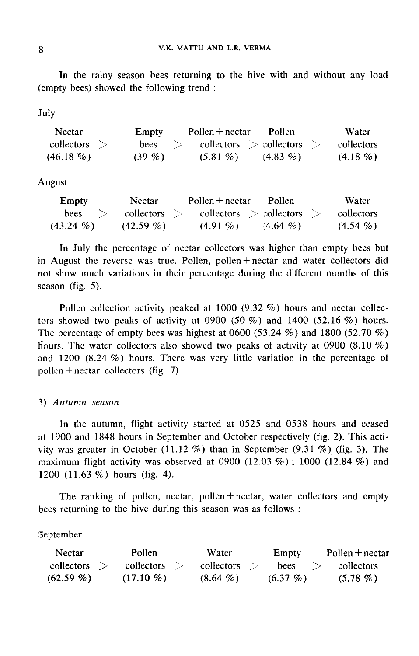In the rainy season bees returning to the hive with and without any load (empty bees) showed the following trend :

July

| <b>Nectar</b>  | Empty       | Pollen $+$ nectar                 | - Pollen   | Water      |
|----------------|-------------|-----------------------------------|------------|------------|
| collectors $>$ | bees<br>- > | collectors $\ge$ collectors $\ge$ |            | collectors |
| $(46.18\%)$    | $(39\%)$    | $(5.81\%)$                        | $(4.83\%)$ | $(4.18\%)$ |

August

| Empty        | Nectar.               | Pollen $+$ nectar | <b>Pollen</b>                           | Water      |
|--------------|-----------------------|-------------------|-----------------------------------------|------------|
| bees         | $\text{collectors} >$ |                   | $\text{collectors} > \text{collectors}$ | collectors |
| $(43.24\% )$ | $(42.59\% )$          | $(4.91\%)$        | $(4.64\%)$                              | $(4.54\%)$ |

In July the percentage of nectar collectors was higher than empty bees but in August the reverse was true. Pollen, pollen+nectar and water collectors did not show much variations in their percentage during the different months of this season (fig. 5).

Pollen collection activity peaked at 1000 (9.32 %) hours and nectar collectors showed two peaks of activity at 0900 (50 %) and 1400 (52.16 %) hours. The percentage of empty bees was highest at 0600 (53.24  $\%$ ) and 1800 (52.70  $\%$ ) hours. The water collectors also showed two peaks of activity at 0900 (8.10  $\%$ ) and 1200 (8.24 %) hours. There was very little variation in the percentage of pollen  $+$  nectar collectors (fig. 7).

# 3) Autumn season

In the autumn, flight activity started at 0525 and 0538 hours and ceased at 1900 and 1848 hours in September and October respectively (fig. 2). This activity was greater in October (11.12 %) than in September  $(9.31 \%)$  (fig. 3). The maximum flight activity was observed at 0900 (12.03  $\%$ ); 1000 (12.84  $\%$ ) and 1200 (11.63 %) hours (fig. 4).

The ranking of pollen, nectar, pollen + nectar, water collectors and empty bees returning to the hive during this season was as follows :

# September

| <b>Nectar</b> | Pollen       | Water      | Empty      | $Pollen + nectar$ |
|---------------|--------------|------------|------------|-------------------|
| collectors    | collectors   | collectors | bees       | collectors        |
| $(62.59\% )$  | $(17.10 \%)$ | $(8.64\%)$ | $(6.37\%)$ | $(5.78\%)$        |

8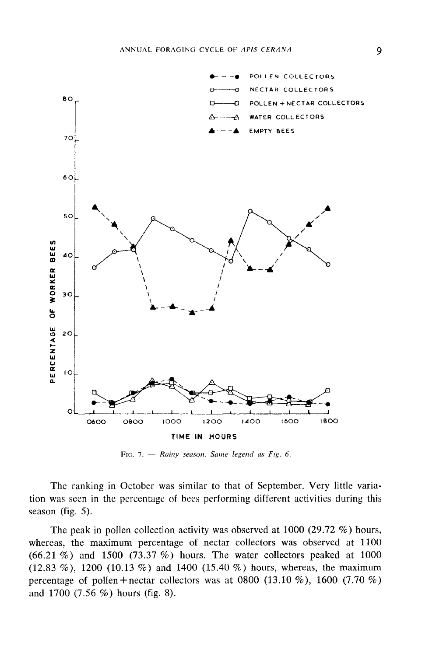

FIG. 7. - Rainy season. Same legend as Fig. 6.

The ranking in October was similar to that of September. Very little variation was seen in the percentage of bees performing different activities during this season (fig. 5).

The peak in pollen collection activity was observed at 1000 (29.72 %) hours, whereas, the maximum percentage of nectar collectors was observed at 1100 (66.21 %) and 1500 (73.37 %) hours. The water collectors peaked at 1000  $(12.83 \%)$ , 1200  $(10.13 \%)$  and 1400  $(15.40 \%)$  hours, whereas, the maximum percentage of pollen + nectar collectors was at 0800 (13.10 %), 1600 (7.70 %) and  $1700$  (7.56 %) hours (fig. 8).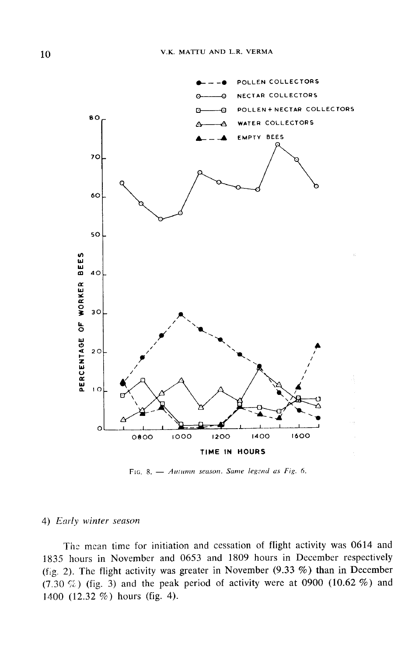

FIG. 8. - Autumn season. Same legend as Fig. 6.

# 4) Early winter season

Thc mean time for initiation and cessation of flight activity was 0614 and 1835 hours in November and 0653 and 1809 hours in December respectively (fig. 2). The flight activity was greater in November (9.33 %) than in December (7.30 %) (fig. 3) and the peak period of activity were at 0900 (10.62 %) and 1400 (12.32 %) hours (fig. 4).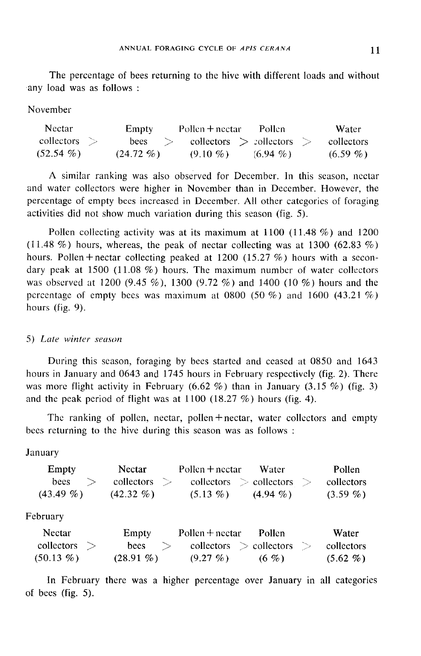The percentage of bees returning to the hive with different loads and without any load was as follows :

November

| <b>Nectar</b> | Empty                 | Pollen $+$ nectar                       | Pollen.    | Water.     |
|---------------|-----------------------|-----------------------------------------|------------|------------|
| collectors    | $\rightarrow$<br>bees | $\text{collectors} > \text{collectors}$ |            | collectors |
| $(52.54\%)$   | $(24.72\%)$           | $(9.10\%)$                              | $(6.94\%)$ | $(6.59\%)$ |

A similar ranking was also observed for December. In this season, nectar and water collectors were higher in November than in December. However, the percentage of empty bees increased in December. All other categories of foraging activities did not show much variation during this season (fig. 5).

Pollen collecting activity was at its maximum at 1100 (11.48 %) and 1200 (11.48 %) hours, whereas, the peak of nectar collecting was at 1300 (62.83 %) hours. Pollen + nectar collecting peaked at 1200 (15.27 %) hours with a secondary peak at  $1500$  (11.08 %) hours. The maximum number of water collectors was observed at 1200 (9.45 %), 1300 (9.72 %) and 1400 (10 %) hours and the percentage of empty bees was maximum at 0800 (50 %) and 1600 (43.21 %) hours (fig. 9).

### 5) Late winter season

During this season, foraging by bees started and ceased at 0850 and 1643 hours in January and 0643 and 1745 hours in February respectively (fig. 2). There was more flight activity in February  $(6.62 \%)$  than in January  $(3.15 \%)$  (fig. 3) and the peak period of flight was at  $1100$  (18.27 %) hours (fig. 4).

The ranking of pollen, nectar, pollen + nectar, water collectors and empty bees returning to the hive during this season was as follows :

January

| Empty       | Nectar       | $Pollen + nectar$ Water                                              |            | Pollen     |
|-------------|--------------|----------------------------------------------------------------------|------------|------------|
| bees        |              | $\text{collectors} > \text{collectors} > \text{collectors} > \text{$ |            | collectors |
| $(43.49\%)$ | $(42.32\% )$ | $(5.13\%)$                                                           | $(4.94\%)$ | $(3.59\%)$ |
| February    |              |                                                                      |            |            |

| Nectar       | Empty        | $P$ ollen $+$ nectar | Pollen                                  | Water      |
|--------------|--------------|----------------------|-----------------------------------------|------------|
| collectors   | bees         |                      | $\text{collectors} > \text{collectors}$ | collectors |
| $(50.13\% )$ | $(28.91\% )$ | $(9.27\%)$           | (6, 9)                                  | $(5.62\%)$ |

In February there was a higher percentage over January in all categories of bees (fig. 5).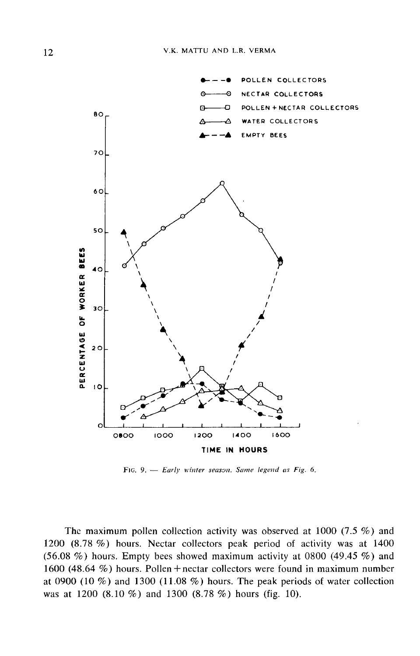

FIG. 9.  $-$  Early winter season. Same legend as Fig. 6.

The maximum pollen collection activity was observed at 1000 (7.5 %) and 1200 (8.78 %) hours. Nectar collectors peak period of activity was at 1400 (56.08  $\%$ ) hours. Empty bees showed maximum activity at 0800 (49.45  $\%$ ) and 1600 (48.64 %) hours. Pollen + nectar collectors were found in maximum number at 0900 (10 %) and 1300 (11.08 %) hours. The peak periods of water collection was at 1200  $(8.10\%)$  and 1300  $(8.78\%)$  hours (fig. 10).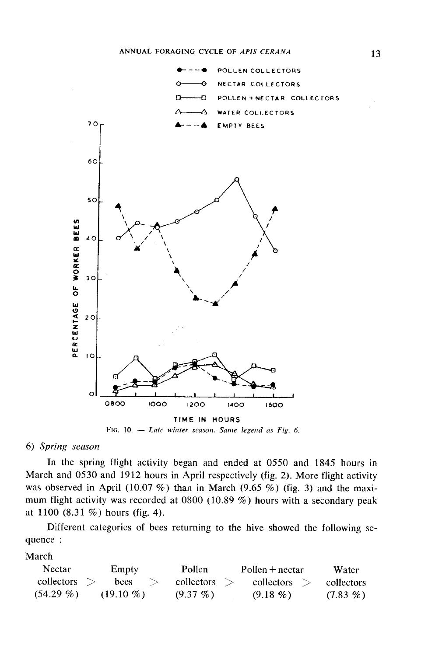

FIG. 10.  $-$  Late winter season. Same legend as Fig. 6.

# 6) Spring season

In the spring flight activity began and ended at 0550 and 1845 hours in March and 0530 and 1912 hours in April respectively (fig. 2). More flight activity was observed in April (10.07 %) than in March (9.65 %) (fig. 3) and the maximum flight activity was recorded at 0800 (10.89 %) hours with a secondary peak at  $1100$   $(8.31\%)$  hours (fig. 4).

Different categories of bees returning to the hive showed the following sequence :

March

| <b>Nectar</b> | Empty        | Pollen     | $P$ ollen + nectar | Water      |
|---------------|--------------|------------|--------------------|------------|
| collectors    | bees         | collectors | collectors         | collectors |
| $(54.29\% )$  | $(19.10\% )$ | $(9.37\%)$ | $(9.18\%)$         | $(7.83\%)$ |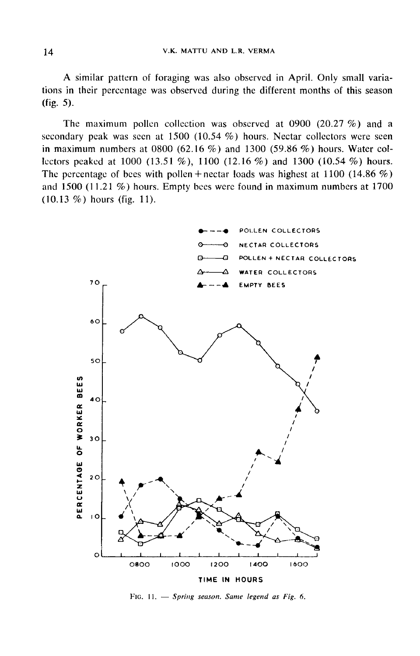A similar pattern of foraging was also observed in April. Only small variations in their percentage was observed during the different months of this season (fig. 5).

The maximum pollen collection was observed at 0900 (20.27 %) and a secondary peak was seen at 1500 (10.54 %) hours. Nectar collectors were seen in maximum numbers at  $0800$  (62.16 %) and 1300 (59.86 %) hours. Water collectors peaked at 1000 (13.51 %), 1100 (12.16 %) and 1300 (10.54 %) hours. The percentage of bees with pollen + nectar loads was highest at 1100 (14.86 %) and 1500 (11.21 %) hours. Empty bees were found in maximum numbers at 1700  $(10.13 \%)$  hours (fig. 11).



FIG. 11.  $-$  Spring season. Same legend as Fig. 6.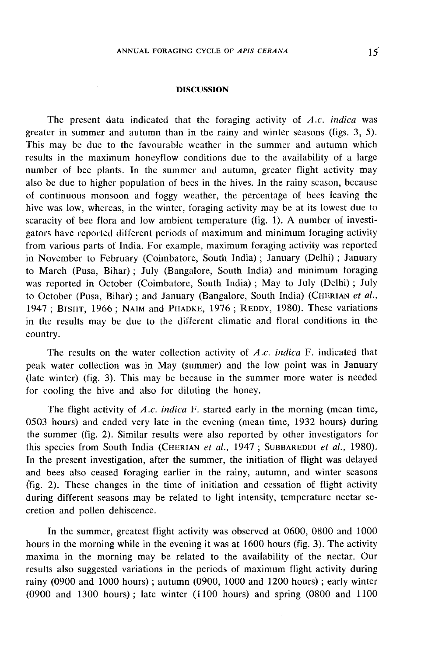#### **DISCUSSION**

The present data indicated that the foraging activity of  $A.c.$  indica was greater in summer and autumn than in the rainy and winter seasons (figs. 3, 5). This may be due to the favourable weather in the summer and autumn which results in the maximum honeyflow conditions due to the availability of a large number of bee plants. In the summer and autumn, greater flight activity may also be due to higher population of bees in the hives. In the rainy season, because of continuous monsoon and foggy weather, the percentage of bees leaving the hive was low, whereas, in the winter, foraging activity may be at its lowest due to scaracity of bee flora and low ambient temperature (fig. 1). A number of investigators have reported different periods of maximum and minimum foraging activity from various parts of India. For example, maximum foraging activity was reported in November to February (Coimbatore, South India) ; January (Delhi) ; January to March (Pusa, Bihar) ; July (Bangalore, South India) and minimum foraging to March (Pusa, Bihar); July (Bangalore, South India) and minimum foraging<br>was reported in October (Coimbatore, South India); May to July (Delhi); July<br>to October (Pusa, Bihar); and January (Bangalore, South India) (CHERIA in the results may be due to the different climatic and floral conditions in the country.

The results on the water collection activity of  $A.c.$  indica F. indicated that peak water collection was in May (summer) and the low point was in January (late winter) (fig. 3). This may be because in the summer more water is needed for cooling the hive and also for diluting the honey.

The flight activity of A.c. indica F. started early in the morning (mean time, 0503 hours) and ended very late in the evening (mean time, 1932 hours) during the summer (fig. 2). Similar results were also reported by other investigators for this species from South India (CHERIAN et al., 1947; SUBBAREDDI et al., 1980). In the present investigation, after the summer, the initiation of flight was delayed and bees also ceased foraging earlier in the rainy, autumn, and winter seasons (fig. 2). These changes in the time of initiation and cessation of flight activity during different seasons may be related to light intensity, temperature nectar secretion and pollen dehiscence.

In the summer, greatest flight activity was observed at 0600, 0800 and 1000 hours in the morning while in the evening it was at 1600 hours (fig. 3). The activity maxima in the morning may be related to the availability of the nectar. Our results also suggested variations in the periods of maximum flight activity during rainy (0900 and 1000 hours) ; autumn (0900, 1000 and 1200 hours) ; early winter (0900 and 1300 hours) ; late winter ( 1100 hours) and spring (0800 and 1100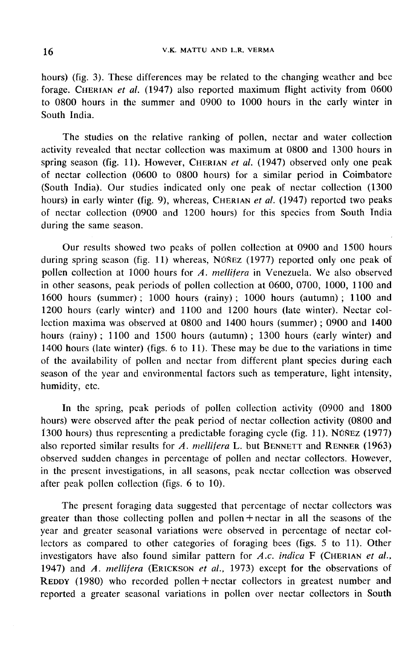hours) (fig. 3). These differences may be related to the changing weather and bee V.K. MATTU AND L.R. VERMA<br>hours) (fig. 3). These differences may be related to the changing weather and bee<br>forage. CHERIAN *et al.* (1947) also reported maximum flight activity from 0600 to 0800 hours in the summer and 0900 to 1000 hours in the early winter in South India.

The studies on the relative ranking of pollen, nectar and water collection activity revealed that nectar collection was maximum at 0800 and 1300 hours in South India.<br>The studies on the relative ranking of pollen, nectar and water collection<br>activity revealed that nectar collection was maximum at 0800 and 1300 hours in<br>spring season (fig. 11). However, CHERIAN *et al.* (194 of nectar collection (0600 to 0800 hours) for a similar period in Coimbatore (South India). Our studies indicated only one peak of nectar collection (1300 spring season (fig. 11). However, CHERIAN *et al.* (1947) observed only one peak of nectar collection (0600 to 0800 hours) for a similar period in Coimbatore (South India). Our studies indicated only one peak of nectar co of nectar collection (0900 and 1200 hours) for this species from South India during the same season.

Our results showed two peaks of pollen collection at 0900 and 1500 hours during spring season (fig. 11) whereas, NÚÑEZ (1977) reported only one peak of pollen collection at 1000 hours for A. mellifera in Venezuela. We also observed in other seasons, peak periods of pollen collection at 0600, 0700, 1000, 1100 and 1600 hours (summer); 1000 hours (rainy); 1000 hours (autumn); 1100 and 1200 hours (early winter) and 1100 and 1200 hours (late winter). Nectar collection maxima was observed at 0800 and 1400 hours (summer) ; 0900 and 1400 hours (rainy) ; 1100 and 1500 hours (autumn) ; 1300 hours (early winter) and 1400 hours (late winter) (figs. 6 to 11). These may be due to the variations in time of the availability of pollen and nectar from different plant species during each season of the year and environmental factors such as temperature, light intensity, humidity, etc.

In the spring, peak periods of pollen collection activity (0900 and 1800 hours) were observed after the peak period of nectar collection activity (0800 and 1300 hours) thus representing a predictable foraging cycle (fig. 11). NÚÑEZ (1977) also reported similar results for  $A$ . *mellifera* L. but BENNETT and RENNER (1963) In the spring, peak periods of pollen collection activity (0900 and 1800<br>hours) were observed after the peak period of nectar collection activity (0800 and<br>1300 hours) thus representing a predictable foraging cycle (fig. observed sudden changes in percentage of pollen and nectar collectors. However, in the present investigations, in all seasons, peak nectar collection was observed after peak pollen collection (figs. 6 to 10).

The present foraging data suggested that percentage of nectar collectors was greater than those collecting pollen and pollen + nectar in all the seasons of the year and greater seasonal variations were observed in percentage of nectar collectors as compared to other categories of foraging bees (figs. 5 to 11). Other<br>investigators have also found similar pattern for A.c. indica F (CHERIAN et al.,<br>1947) and A. mellifera (ERICKSON et al., 1973) except for th The present foraging data suggested that percentage of nectar collectors was greater than those collecting pollen and pollen + nectar in all the seasons of the year and greater seasonal variations were observed in percent investigators have also found similar pattern for A.c. indica F (CHERIAN et al., 1947) and A. mellifera (ERICKSON et al., 1973) except for the observations of REDDY (1980) who recorded pollen + nectar collectors in greate reported a greater seasonal variations in pollen over nectar collectors in South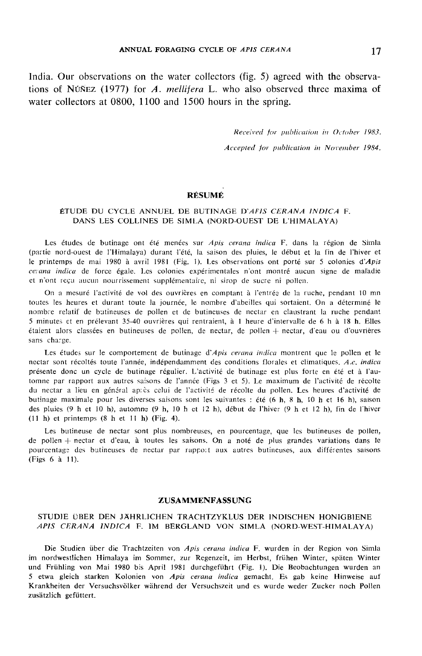India. Our observations on the water collectors (fig. 5) agreed with the observations of NÚNEZ (1977) for A. mellifera L. who also observed three maxima of water collectors at 0800, 1100 and 1500 hours in the spring.

Received for publication in October 1983.

Accepted for publication in November 1984.

### RÉSUMÉ

### ÉTUDE DU CYCLE ANNUEL DE BUTINAGE D'AFIS CERANA INDICA F. DANS LES COLLINES DE SIMLA (NORD-OUEST DE L'HIMALAYA)

Les études de butinage ont été menées sur Apis cerana indica F. dans la région de Simla (partie nord-ouest de l'Himalaya) durant l'été, la saison des pluies, le début et la fin de l'hiver et le printemps de mai 1980 à avril 1981 (Fig. 1). Les observations ont porté sur 5 colonies d'Apis cerana indica de force égale. Les colonies expérimentales n'ont montré aucun signe de maladie et n'ont reçu aucun nourrissement supplémentaire, ni sirop de sucre ni pollen,

On a mesuré l'activité de vol des ouvrières en comptant à l'entrée de la ruche, pendant 10 mn toutes les heures et durant toute la journée, le nombre d'abeilles qui sortaient. On a déterminé le nombre relatif de butineuses de pollen et de butineuses de nectar en claustrant la ruche pendant 5 minutes et en prélevant 35-40 ouvrières qui rentraient, à 1 heure d'intervalle de 6 h à 18 h. Elles  $\acute{e}$ taient alors classées en butineuses de pollen, de nectar, de pollen  $+$  nectar, d'eau ou d'ouvrières sans charge.

Les études sur le comportement de butinage d'Apis cerana indica montrent que le pollen et le nectar sont récoltés toute l'année, indépendamment des conditions florales et climatiques. A.c, indica présente donc un cycle de butinage régulier. L'activité de butinage est plus forte en été et à l'automne par rapport aux autres saisons de l'année (Figs 3 et 5). Le maximum de l'activité de récolte du nectar a lieu en général ap: ès celui de l'activité de récolte du pollen. Les heures d'activité de butinage maximale pour les diverses saisons sont les suivantes : été (6 h, 8 h, 10 h et 16 h), saison des pluies (9 h et 10 h), automne (9 h, 10 h et 12 h), début de l'hiver (9 h et 12 h), fin de l'hiver (11 h) et printemps (8 h et 11 h) (Fig. 4).

Les butineuse de nectar sont plus nombreuses, en pourcentage, que les butineuses de pollen, de pollen  $+$  nectar et d'eau, à toutes les saisons. On a noté de plus grandes variations dans le pourcentage des butineuses de nectar par rappo: aux autres butineuses, aux différentes saisons (Figs 6 à 11).

#### ZUSAMMENFASSUNG

### STUDIE ÜBER DEN JÄHRLICHEN TRACHTZYKLUS DER INDISCHEN HONIGBIENE APIS CERANA INDICA F. IM BERGLAND VON SIMLA (NORD-WEST-HIMALAYA)

Die Studien über die Trachtzeiten von Apis cerana indica F. wurden in der Region von Simla im nordwestlichen Himalaya im Sommer, zur Regenzeit, im Herbst, frühen Winter, späten Winter und Frühling von Mai 1980 bis April 1981 durchgeführt (Fig. 1). Die Beobachtungen wurden an 5 etwa gleich starken Kolonien von Apis cerana indica gemacht. Es gab keine Hinweise auf Krankheiten der Versuchsvölker während der Versuchszeit und es wurde weder Zucker noch Pollen zusätzlich gefüttert.